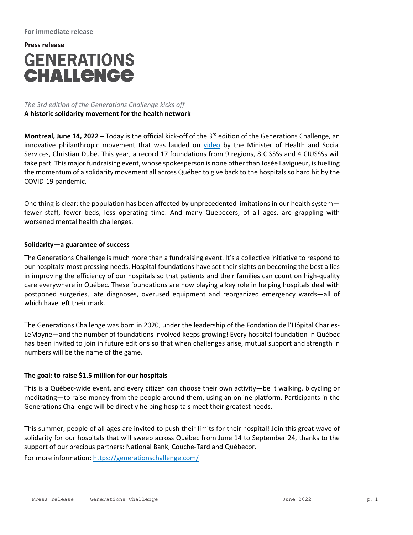# **Press release GENERATIONS** CHALLENGE

# *The 3rd edition of the Generations Challenge kicks off* **A historic solidarity movement for the health network**

**Montreal, June 14, 2022 –** Today is the official kick‐off of the 3rd edition of the Generations Challenge, an innovative philanthropic movement that was lauded on video by the Minister of Health and Social Services, Christian Dubé. This year, a record 17 foundations from 9 regions, 8 CISSSs and 4 CIUSSSs will take part. This major fundraising event, whose spokesperson is none other than Josée Lavigueur, is fuelling the momentum of a solidarity movement all across Québec to give back to the hospitals so hard hit by the COVID‐19 pandemic.

One thing is clear: the population has been affected by unprecedented limitations in our health system fewer staff, fewer beds, less operating time. And many Quebecers, of all ages, are grappling with worsened mental health challenges.

## **Solidarity—a guarantee of success**

The Generations Challenge is much more than a fundraising event. It's a collective initiative to respond to our hospitals' most pressing needs. Hospital foundations have set their sights on becoming the best allies in improving the efficiency of our hospitals so that patients and their families can count on high‐quality care everywhere in Québec. These foundations are now playing a key role in helping hospitals deal with postponed surgeries, late diagnoses, overused equipment and reorganized emergency wards—all of which have left their mark.

The Generations Challenge was born in 2020, under the leadership of the Fondation de l'Hôpital Charles‐ LeMoyne—and the number of foundations involved keeps growing! Every hospital foundation in Québec has been invited to join in future editions so that when challenges arise, mutual support and strength in numbers will be the name of the game.

## **The goal: to raise \$1.5 million for our hospitals**

This is a Québec‐wide event, and every citizen can choose their own activity—be it walking, bicycling or meditating—to raise money from the people around them, using an online platform. Participants in the Generations Challenge will be directly helping hospitals meet their greatest needs.

This summer, people of all ages are invited to push their limits for their hospital! Join this great wave of solidarity for our hospitals that will sweep across Québec from June 14 to September 24, thanks to the support of our precious partners: National Bank, Couche‐Tard and Québecor.

For more information: https://generationschallenge.com/